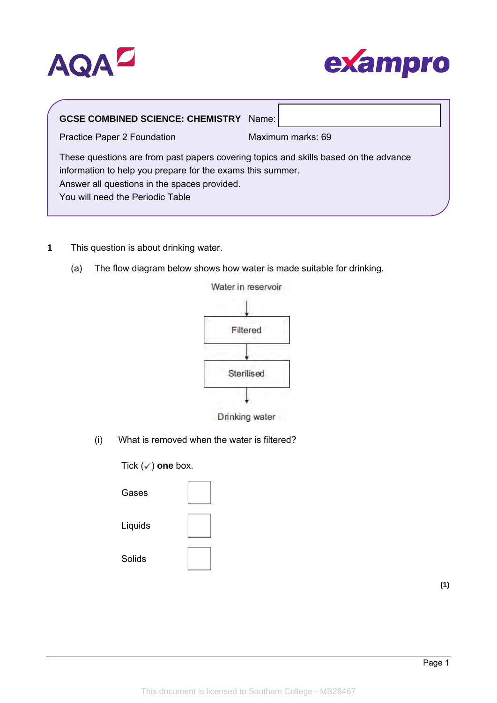



| <b>GCSE COMBINED SCIENCE: CHEMISTRY Name:</b>                                                                                                                                                                                          |                   |
|----------------------------------------------------------------------------------------------------------------------------------------------------------------------------------------------------------------------------------------|-------------------|
| Practice Paper 2 Foundation                                                                                                                                                                                                            | Maximum marks: 69 |
| These questions are from past papers covering topics and skills based on the advance<br>information to help you prepare for the exams this summer.<br>Answer all questions in the spaces provided.<br>You will need the Periodic Table |                   |

- **1** This question is about drinking water.
	- (a) The flow diagram below shows how water is made suitable for drinking.



- Drinking water
- (i) What is removed when the water is filtered?

Tick (✓) one box.

| Gases         |  |
|---------------|--|
| Liquids       |  |
| <b>Solids</b> |  |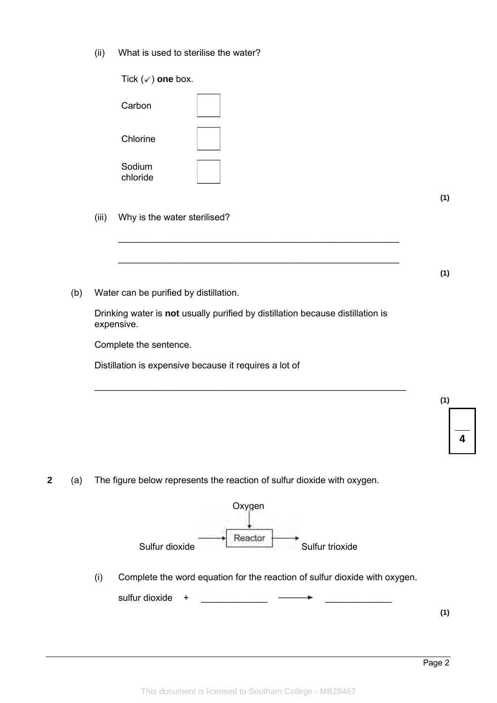(ii) What is used to sterilise the water?

|   |     | Tick $(\checkmark)$ one box.                                                                 |     |
|---|-----|----------------------------------------------------------------------------------------------|-----|
|   |     | Carbon                                                                                       |     |
|   |     | Chlorine                                                                                     |     |
|   |     | Sodium<br>chloride                                                                           |     |
|   |     |                                                                                              | (1) |
|   |     | Why is the water sterilised?<br>(iii)                                                        |     |
|   |     |                                                                                              |     |
|   |     |                                                                                              | (1) |
|   | (b) | Water can be purified by distillation.                                                       |     |
|   |     | Drinking water is not usually purified by distillation because distillation is<br>expensive. |     |
|   |     | Complete the sentence.                                                                       |     |
|   |     | Distillation is expensive because it requires a lot of                                       |     |
|   |     |                                                                                              |     |
|   |     |                                                                                              | (1) |
|   |     |                                                                                              | 4   |
|   |     |                                                                                              |     |
| 2 | (a) | The figure below represents the reaction of sulfur dioxide with oxygen.                      |     |
|   |     | Oxygen                                                                                       |     |
|   |     | Reactor                                                                                      |     |
|   |     | Sulfur dioxide<br>Sulfur trioxide                                                            |     |
|   |     | Complete the word equation for the reaction of sulfur dioxide with oxygen.<br>(i)            |     |
|   |     | sulfur dioxide<br>+                                                                          |     |
|   |     |                                                                                              | (1) |
|   |     |                                                                                              |     |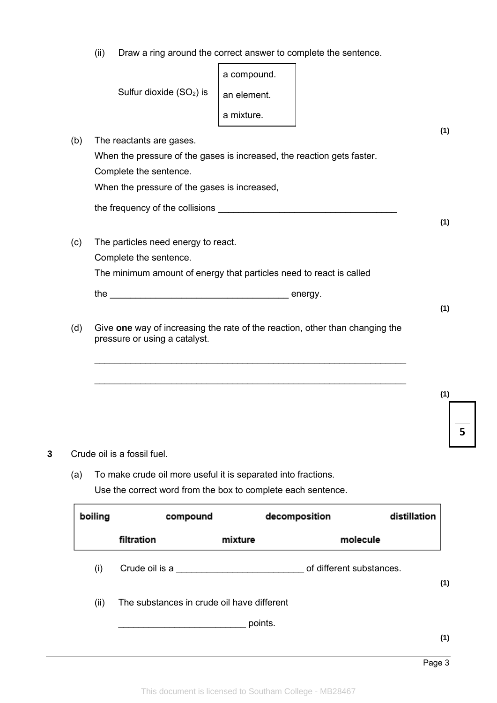(ii) Draw a ring around the correct answer to complete the sentence.

|     |                                                                                                               | a compound. |  |
|-----|---------------------------------------------------------------------------------------------------------------|-------------|--|
|     | Sulfur dioxide (SO <sub>2</sub> ) is                                                                          | an element. |  |
|     |                                                                                                               | a mixture.  |  |
| (b) | The reactants are gases.                                                                                      |             |  |
|     | When the pressure of the gases is increased, the reaction gets faster.                                        |             |  |
|     | Complete the sentence.                                                                                        |             |  |
|     | When the pressure of the gases is increased,                                                                  |             |  |
|     |                                                                                                               |             |  |
|     |                                                                                                               |             |  |
| (c) | The particles need energy to react.                                                                           |             |  |
|     | Complete the sentence.                                                                                        |             |  |
|     | The minimum amount of energy that particles need to react is called                                           |             |  |
|     |                                                                                                               |             |  |
|     |                                                                                                               |             |  |
| (d) | Give one way of increasing the rate of the reaction, other than changing the<br>pressure or using a catalyst. |             |  |
|     |                                                                                                               |             |  |
|     |                                                                                                               |             |  |
|     |                                                                                                               |             |  |
|     |                                                                                                               |             |  |
|     |                                                                                                               |             |  |
|     |                                                                                                               |             |  |

(a) To make crude oil more useful it is separated into fractions. Use the correct word from the box to complete each sentence.

| boiling | compound                                   |         | decomposition            | distillation |     |
|---------|--------------------------------------------|---------|--------------------------|--------------|-----|
|         | filtration                                 | mixture | molecule                 |              |     |
| (i)     | Crude oil is a                             |         | of different substances. |              | (1) |
| (ii)    | The substances in crude oil have different |         |                          |              |     |
|         |                                            | points. |                          |              |     |
|         |                                            |         |                          |              | (1) |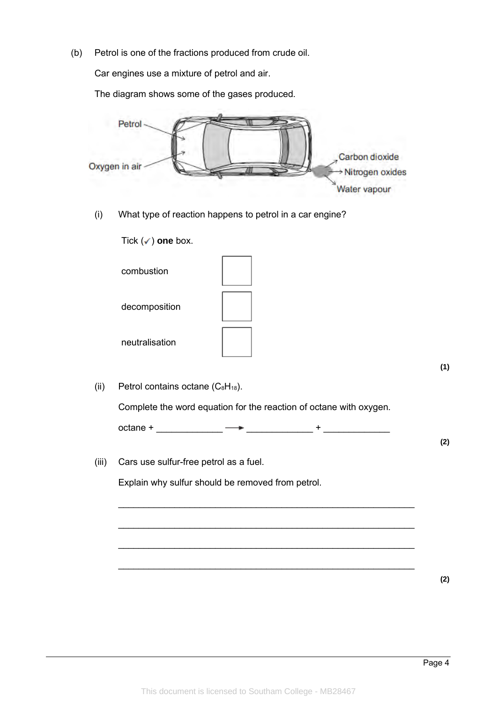(b) Petrol is one of the fractions produced from crude oil.

Car engines use a mixture of petrol and air.

The diagram shows some of the gases produced.



(i) What type of reaction happens to petrol in a car engine?

Tick (✓) one box.

| combustion     |  |
|----------------|--|
| decomposition  |  |
| neutralisation |  |

(ii) Petrol contains octane  $(C_8H_{18})$ .

Complete the word equation for the reaction of octane with oxygen.

 $octane + \longrightarrow +$ 

\_\_\_\_\_\_\_\_\_\_\_\_\_\_\_\_\_\_\_\_\_\_\_\_\_\_\_\_\_\_\_\_\_\_\_\_\_\_\_\_\_\_\_\_\_\_\_\_\_\_\_\_\_\_\_\_\_\_

\_\_\_\_\_\_\_\_\_\_\_\_\_\_\_\_\_\_\_\_\_\_\_\_\_\_\_\_\_\_\_\_\_\_\_\_\_\_\_\_\_\_\_\_\_\_\_\_\_\_\_\_\_\_\_\_\_\_

 $\_$  ,  $\_$  ,  $\_$  ,  $\_$  ,  $\_$  ,  $\_$  ,  $\_$  ,  $\_$  ,  $\_$  ,  $\_$  ,  $\_$  ,  $\_$  ,  $\_$  ,  $\_$  ,  $\_$  ,  $\_$  ,  $\_$  ,  $\_$  ,  $\_$  ,  $\_$ 

\_\_\_\_\_\_\_\_\_\_\_\_\_\_\_\_\_\_\_\_\_\_\_\_\_\_\_\_\_\_\_\_\_\_\_\_\_\_\_\_\_\_\_\_\_\_\_\_\_\_\_\_\_\_\_\_\_\_

(iii) Cars use sulfur-free petrol as a fuel.

Explain why sulfur should be removed from petrol.

**(2)**

**(1)**

**(2)**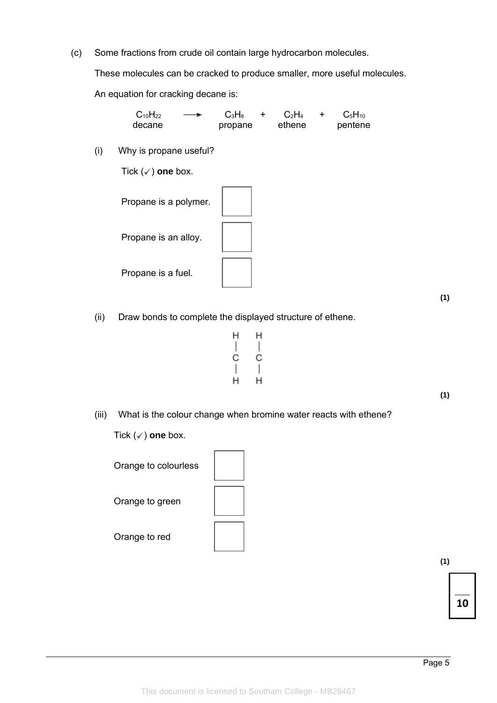(c) Some fractions from crude oil contain large hydrocarbon molecules.

These molecules can be cracked to produce smaller, more useful molecules.

An equation for cracking decane is:

 $C_{10}H_{22} \longrightarrow C_3H_8 + C_2H_4 + C_5H_{10}$ <br>decane propane ethene pentene propane

(i) Why is propane useful?

Tick (✓) one box.

Propane is a polymer. Propane is an alloy. Propane is a fuel.

(ii) Draw bonds to complete the displayed structure of ethene.

 $H$ н  $\overline{\phantom{a}}$  $\begin{array}{c} \hline \end{array}$ C  $\mathbf C$  $\overline{1}$  $\overline{\phantom{a}}$ н н

**(1)**

**(1)**

(iii) What is the colour change when bromine water reacts with ethene?

Tick (✓) one box.

Orange to colourless Orange to green Orange to red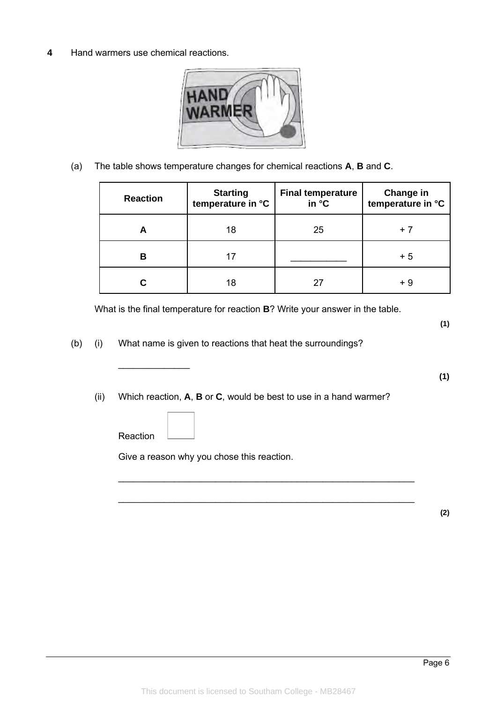**4** Hand warmers use chemical reactions.



(a) The table shows temperature changes for chemical reactions **A**, **B** and **C**.

| <b>Reaction</b> | <b>Starting</b><br>temperature in °C | <b>Final temperature</b><br>in °C | Change in<br>temperature in °C |
|-----------------|--------------------------------------|-----------------------------------|--------------------------------|
| A               | 18                                   | 25                                | + 7                            |
| В               | 17                                   |                                   | + 5                            |
|                 | 18                                   | 27                                | + 9                            |

What is the final temperature for reaction **B**? Write your answer in the table.

**(1)**

**(1)**

- (b) (i) What name is given to reactions that heat the surroundings?
	- (ii) Which reaction, **A**, **B** or **C**, would be best to use in a hand warmer?

 $\_$  , and the set of the set of the set of the set of the set of the set of the set of the set of the set of the set of the set of the set of the set of the set of the set of the set of the set of the set of the set of th

 $\_$  , and the set of the set of the set of the set of the set of the set of the set of the set of the set of the set of the set of the set of the set of the set of the set of the set of the set of the set of the set of th

Reaction

 $\frac{1}{2}$ 

Give a reason why you chose this reaction.

**(2)**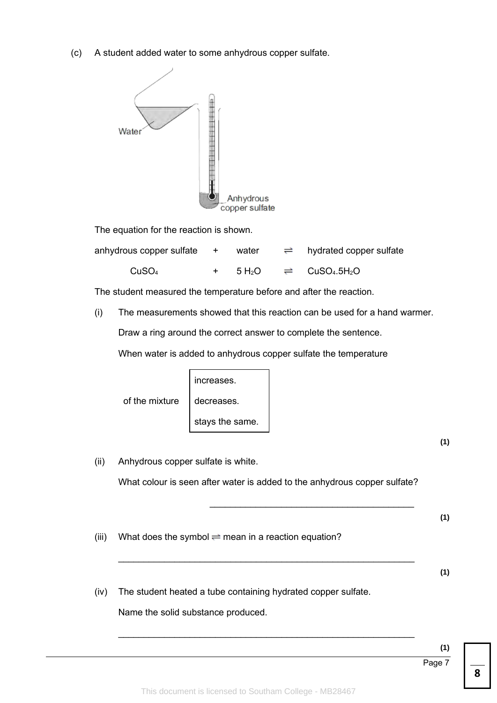(c) A student added water to some anhydrous copper sulfate.



The equation for the reaction is shown.

| anhydrous copper sulfate + water |  | $\Rightarrow$ hydrated copper sulfate                                            |
|----------------------------------|--|----------------------------------------------------------------------------------|
| CuSO <sub>4</sub>                |  | $+$ 5 H <sub>2</sub> O $\rightleftharpoons$ CuSO <sub>4</sub> .5H <sub>2</sub> O |

The student measured the temperature before and after the reaction.

(i) The measurements showed that this reaction can be used for a hand warmer.

Draw a ring around the correct answer to complete the sentence.

When water is added to anhydrous copper sulfate the temperature

|                             | increases.      |
|-----------------------------|-----------------|
| of the mixture   decreases. |                 |
|                             | stays the same. |

**(1)**

| (ii)  | Anhydrous copper sulfate is white.                                        |     |
|-------|---------------------------------------------------------------------------|-----|
|       | What colour is seen after water is added to the anhydrous copper sulfate? |     |
|       |                                                                           | (1) |
| (iii) | What does the symbol $\rightleftharpoons$ mean in a reaction equation?    |     |
|       |                                                                           | (1) |
| (iv)  | The student heated a tube containing hydrated copper sulfate.             |     |
|       | Name the solid substance produced.                                        |     |

 $\_$  , and the set of the set of the set of the set of the set of the set of the set of the set of the set of the set of the set of the set of the set of the set of the set of the set of the set of the set of the set of th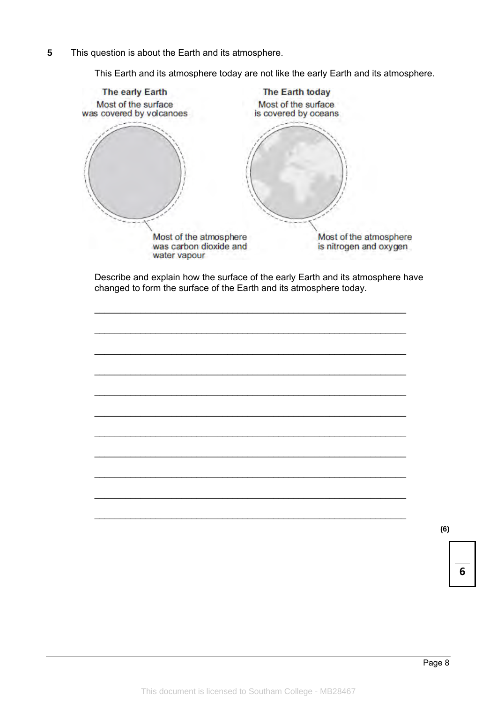$\overline{5}$ This question is about the Earth and its atmosphere.

This Earth and its atmosphere today are not like the early Earth and its atmosphere.



Describe and explain how the surface of the early Earth and its atmosphere have changed to form the surface of the Earth and its atmosphere today.

 $(6)$ 

6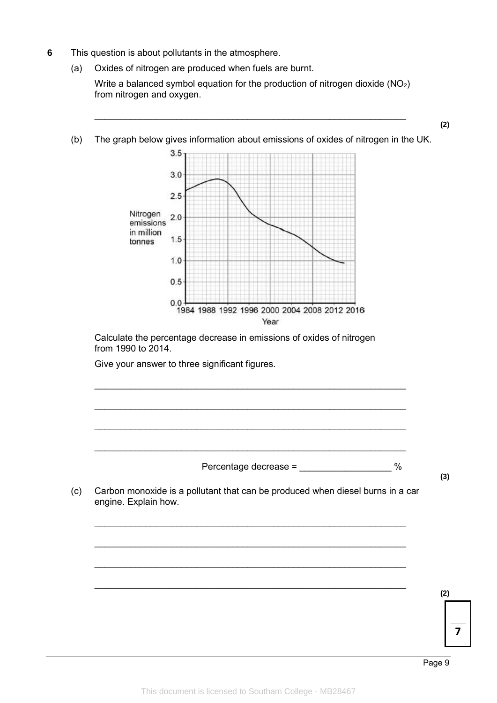- **6** This question is about pollutants in the atmosphere.
	- (a) Oxides of nitrogen are produced when fuels are burnt.

Write a balanced symbol equation for the production of nitrogen dioxide (NO<sub>2</sub>) from nitrogen and oxygen.

 $\_$  ,  $\_$  ,  $\_$  ,  $\_$  ,  $\_$  ,  $\_$  ,  $\_$  ,  $\_$  ,  $\_$  ,  $\_$  ,  $\_$  ,  $\_$  ,  $\_$  ,  $\_$  ,  $\_$  ,  $\_$  ,  $\_$  ,  $\_$  ,  $\_$  ,  $\_$ 

- **(2)** (b) The graph below gives information about emissions of oxides of nitrogen in the UK.  $3.5$  $3.0$  $2.5$ Nitrogen  $2.0$ emissions in million  $1.5$ tonnes  $1.0$  $0.5$  $0.0$ 1984 1988 1992 1996 2000 2004 2008 2012 2016 Year Calculate the percentage decrease in emissions of oxides of nitrogen from 1990 to 2014. Give your answer to three significant figures.  $\_$  ,  $\_$  ,  $\_$  ,  $\_$  ,  $\_$  ,  $\_$  ,  $\_$  ,  $\_$  ,  $\_$  ,  $\_$  ,  $\_$  ,  $\_$  ,  $\_$  ,  $\_$  ,  $\_$  ,  $\_$  ,  $\_$  ,  $\_$  ,  $\_$  ,  $\_$ \_\_\_\_\_\_\_\_\_\_\_\_\_\_\_\_\_\_\_\_\_\_\_\_\_\_\_\_\_\_\_\_\_\_\_\_\_\_\_\_\_\_\_\_\_\_\_\_\_\_\_\_\_\_\_\_\_\_\_\_\_ \_\_\_\_\_\_\_\_\_\_\_\_\_\_\_\_\_\_\_\_\_\_\_\_\_\_\_\_\_\_\_\_\_\_\_\_\_\_\_\_\_\_\_\_\_\_\_\_\_\_\_\_\_\_\_\_\_\_\_\_\_ \_\_\_\_\_\_\_\_\_\_\_\_\_\_\_\_\_\_\_\_\_\_\_\_\_\_\_\_\_\_\_\_\_\_\_\_\_\_\_\_\_\_\_\_\_\_\_\_\_\_\_\_\_\_\_\_\_\_\_\_\_ Percentage decrease = \_\_\_\_\_\_\_\_\_\_\_\_\_\_\_\_\_\_ % **(3)** (c) Carbon monoxide is a pollutant that can be produced when diesel burns in a car engine. Explain how.  $\_$  ,  $\_$  ,  $\_$  ,  $\_$  ,  $\_$  ,  $\_$  ,  $\_$  ,  $\_$  ,  $\_$  ,  $\_$  ,  $\_$  ,  $\_$  ,  $\_$  ,  $\_$  ,  $\_$  ,  $\_$  ,  $\_$  ,  $\_$  ,  $\_$  ,  $\_$ \_\_\_\_\_\_\_\_\_\_\_\_\_\_\_\_\_\_\_\_\_\_\_\_\_\_\_\_\_\_\_\_\_\_\_\_\_\_\_\_\_\_\_\_\_\_\_\_\_\_\_\_\_\_\_\_\_\_\_\_\_ \_\_\_\_\_\_\_\_\_\_\_\_\_\_\_\_\_\_\_\_\_\_\_\_\_\_\_\_\_\_\_\_\_\_\_\_\_\_\_\_\_\_\_\_\_\_\_\_\_\_\_\_\_\_\_\_\_\_\_\_\_  $\_$  ,  $\_$  ,  $\_$  ,  $\_$  ,  $\_$  ,  $\_$  ,  $\_$  ,  $\_$  ,  $\_$  ,  $\_$  ,  $\_$  ,  $\_$  ,  $\_$  ,  $\_$  ,  $\_$  ,  $\_$  ,  $\_$  ,  $\_$  ,  $\_$  ,  $\_$ **(2)**
- 

Page 9

**7**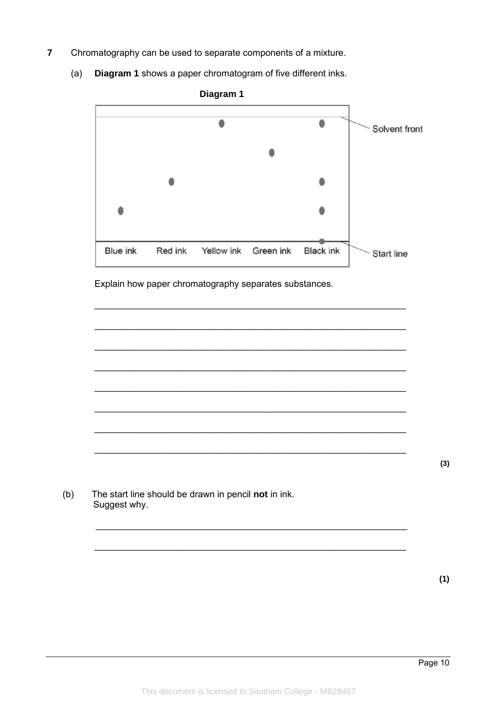- $\overline{7}$ Chromatography can be used to separate components of a mixture.
	- Diagram 1 shows a paper chromatogram of five different inks.  $(a)$



Explain how paper chromatography separates substances.

 $(3)$ 

The start line should be drawn in pencil not in ink.  $(b)$ Suggest why.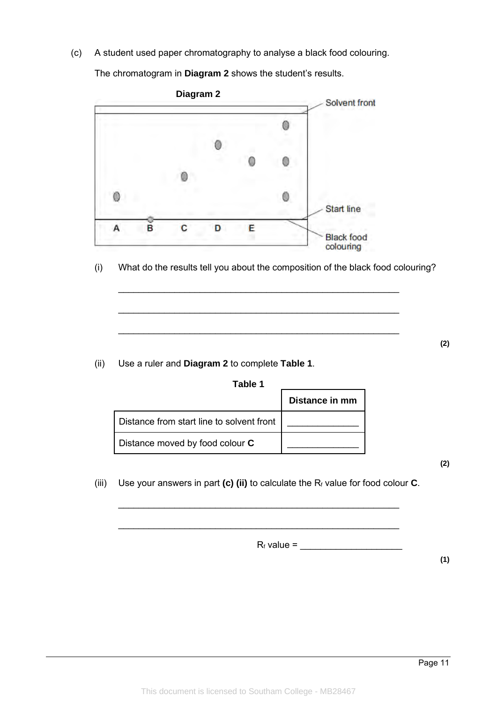(c) A student used paper chromatography to analyse a black food colouring.

The chromatogram in **Diagram 2** shows the student's results.



(i) What do the results tell you about the composition of the black food colouring?

\_\_\_\_\_\_\_\_\_\_\_\_\_\_\_\_\_\_\_\_\_\_\_\_\_\_\_\_\_\_\_\_\_\_\_\_\_\_\_\_\_\_\_\_\_\_\_\_\_\_\_\_\_\_\_

\_\_\_\_\_\_\_\_\_\_\_\_\_\_\_\_\_\_\_\_\_\_\_\_\_\_\_\_\_\_\_\_\_\_\_\_\_\_\_\_\_\_\_\_\_\_\_\_\_\_\_\_\_\_\_

\_\_\_\_\_\_\_\_\_\_\_\_\_\_\_\_\_\_\_\_\_\_\_\_\_\_\_\_\_\_\_\_\_\_\_\_\_\_\_\_\_\_\_\_\_\_\_\_\_\_\_\_\_\_\_

(ii) Use a ruler and **Diagram 2** to complete **Table 1**.

**Table 1**

|                                           | Distance in mm |
|-------------------------------------------|----------------|
| Distance from start line to solvent front |                |
| Distance moved by food colour C           |                |

**(2)**

**(2)**

(iii) Use your answers in part **(c) (ii)** to calculate the R<sup>f</sup> value for food colour **C**.

\_\_\_\_\_\_\_\_\_\_\_\_\_\_\_\_\_\_\_\_\_\_\_\_\_\_\_\_\_\_\_\_\_\_\_\_\_\_\_\_\_\_\_\_\_\_\_\_\_\_\_\_\_\_\_

\_\_\_\_\_\_\_\_\_\_\_\_\_\_\_\_\_\_\_\_\_\_\_\_\_\_\_\_\_\_\_\_\_\_\_\_\_\_\_\_\_\_\_\_\_\_\_\_\_\_\_\_\_\_\_

 $R_f$  value =  $\frac{1}{\sqrt{1-\frac{1}{2}}}\frac{1}{\sqrt{1-\frac{1}{2}}}\frac{1}{\sqrt{1-\frac{1}{2}}}\frac{1}{\sqrt{1-\frac{1}{2}}}\frac{1}{\sqrt{1-\frac{1}{2}}}\frac{1}{\sqrt{1-\frac{1}{2}}}\frac{1}{\sqrt{1-\frac{1}{2}}}\frac{1}{\sqrt{1-\frac{1}{2}}}\frac{1}{\sqrt{1-\frac{1}{2}}}\frac{1}{\sqrt{1-\frac{1}{2}}}\frac{1}{\sqrt{1-\frac{1}{2}}}\frac{1}{\sqrt{1-\frac{1}{2}}}\frac{1}{\sqrt{1-\frac{1}{2$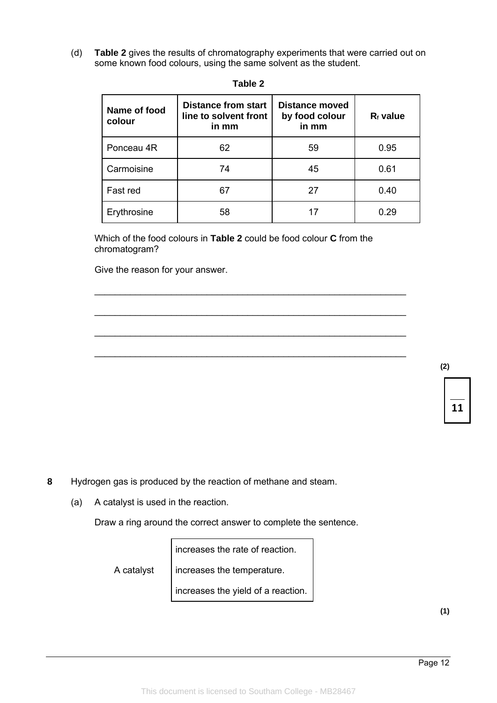(d) **Table 2** gives the results of chromatography experiments that were carried out on some known food colours, using the same solvent as the student.

| Name of food<br>colour | <b>Distance from start</b><br>line to solvent front<br>in mm | <b>Distance moved</b><br>by food colour<br>in mm | $R_f$ value |
|------------------------|--------------------------------------------------------------|--------------------------------------------------|-------------|
| Ponceau 4R             | 62                                                           | 59                                               | 0.95        |
| Carmoisine             | 74                                                           | 45                                               | 0.61        |
| Fast red               | 67                                                           | 27                                               | 0.40        |
| Erythrosine            | 58                                                           | 17                                               | 0.29        |

**Table 2**

Which of the food colours in **Table 2** could be food colour **C** from the chromatogram?

 $\_$  ,  $\_$  ,  $\_$  ,  $\_$  ,  $\_$  ,  $\_$  ,  $\_$  ,  $\_$  ,  $\_$  ,  $\_$  ,  $\_$  ,  $\_$  ,  $\_$  ,  $\_$  ,  $\_$  ,  $\_$  ,  $\_$  ,  $\_$  ,  $\_$  ,  $\_$ 

\_\_\_\_\_\_\_\_\_\_\_\_\_\_\_\_\_\_\_\_\_\_\_\_\_\_\_\_\_\_\_\_\_\_\_\_\_\_\_\_\_\_\_\_\_\_\_\_\_\_\_\_\_\_\_\_\_\_\_\_\_

\_\_\_\_\_\_\_\_\_\_\_\_\_\_\_\_\_\_\_\_\_\_\_\_\_\_\_\_\_\_\_\_\_\_\_\_\_\_\_\_\_\_\_\_\_\_\_\_\_\_\_\_\_\_\_\_\_\_\_\_\_

\_\_\_\_\_\_\_\_\_\_\_\_\_\_\_\_\_\_\_\_\_\_\_\_\_\_\_\_\_\_\_\_\_\_\_\_\_\_\_\_\_\_\_\_\_\_\_\_\_\_\_\_\_\_\_\_\_\_\_\_\_

Give the reason for your answer.

**(2)**

**11**

**8** Hydrogen gas is produced by the reaction of methane and steam.

(a) A catalyst is used in the reaction.

Draw a ring around the correct answer to complete the sentence.

increases the rate of reaction.

A catalyst

increases the temperature.

increases the yield of a reaction.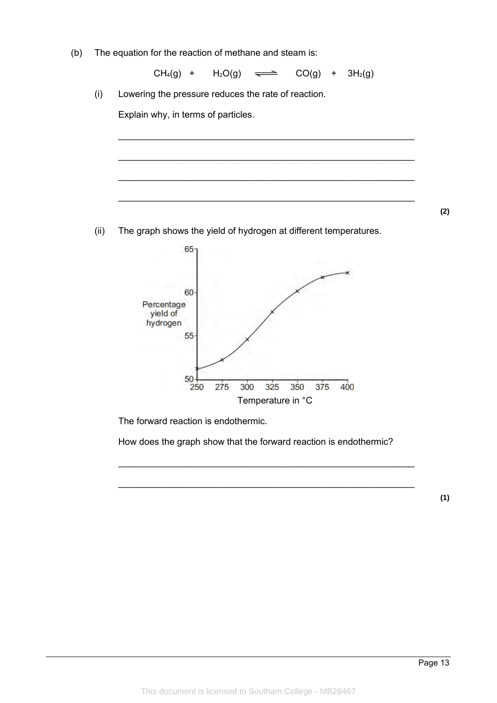(b) The equation for the reaction of methane and steam is:

 $CH_4(g)$  +  $H_2O(g)$   $\implies$   $CO(g)$  +  $3H_2(g)$ 

\_\_\_\_\_\_\_\_\_\_\_\_\_\_\_\_\_\_\_\_\_\_\_\_\_\_\_\_\_\_\_\_\_\_\_\_\_\_\_\_\_\_\_\_\_\_\_\_\_\_\_\_\_\_\_\_\_\_

 $\_$  , and the set of the set of the set of the set of the set of the set of the set of the set of the set of the set of the set of the set of the set of the set of the set of the set of the set of the set of the set of th

\_\_\_\_\_\_\_\_\_\_\_\_\_\_\_\_\_\_\_\_\_\_\_\_\_\_\_\_\_\_\_\_\_\_\_\_\_\_\_\_\_\_\_\_\_\_\_\_\_\_\_\_\_\_\_\_\_\_

\_\_\_\_\_\_\_\_\_\_\_\_\_\_\_\_\_\_\_\_\_\_\_\_\_\_\_\_\_\_\_\_\_\_\_\_\_\_\_\_\_\_\_\_\_\_\_\_\_\_\_\_\_\_\_\_\_\_

(i) Lowering the pressure reduces the rate of reaction.

Explain why, in terms of particles.

(ii) The graph shows the yield of hydrogen at different temperatures.



The forward reaction is endothermic.

How does the graph show that the forward reaction is endothermic?

 $\_$  , and the set of the set of the set of the set of the set of the set of the set of the set of the set of the set of the set of the set of the set of the set of the set of the set of the set of the set of the set of th

 $\_$  , and the set of the set of the set of the set of the set of the set of the set of the set of the set of the set of the set of the set of the set of the set of the set of the set of the set of the set of the set of th

**(1)**

**(2)**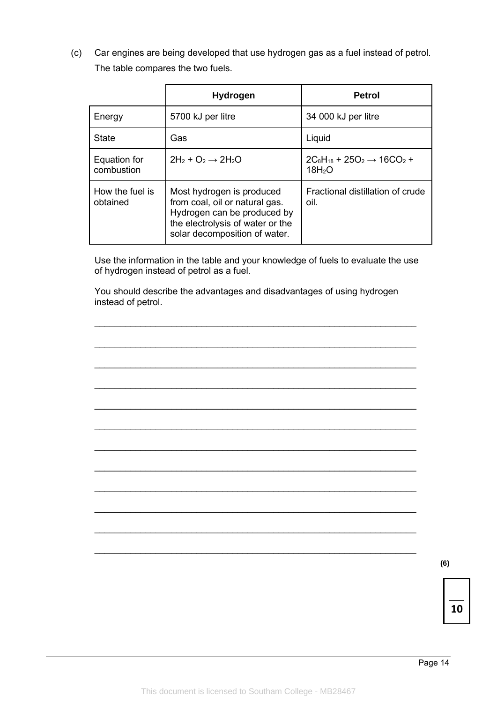(c) Car engines are being developed that use hydrogen gas as a fuel instead of petrol. The table compares the two fuels.

|                             | <b>Hydrogen</b>                                                                                                                                                 | <b>Petrol</b>                                                     |
|-----------------------------|-----------------------------------------------------------------------------------------------------------------------------------------------------------------|-------------------------------------------------------------------|
| Energy                      | 5700 kJ per litre                                                                                                                                               | 34 000 kJ per litre                                               |
| <b>State</b>                | Gas                                                                                                                                                             | Liquid                                                            |
| Equation for<br>combustion  | $2H_2 + O_2 \rightarrow 2H_2O$                                                                                                                                  | $2C_8H_{18}$ + $25O_2 \rightarrow 16CO_2$ +<br>18H <sub>2</sub> O |
| How the fuel is<br>obtained | Most hydrogen is produced<br>from coal, oil or natural gas.<br>Hydrogen can be produced by<br>the electrolysis of water or the<br>solar decomposition of water. | Fractional distillation of crude<br>oil.                          |

Use the information in the table and your knowledge of fuels to evaluate the use of hydrogen instead of petrol as a fuel.

 $\_$  ,  $\_$  ,  $\_$  ,  $\_$  ,  $\_$  ,  $\_$  ,  $\_$  ,  $\_$  ,  $\_$  ,  $\_$  ,  $\_$  ,  $\_$  ,  $\_$  ,  $\_$  ,  $\_$  ,  $\_$  ,  $\_$  ,  $\_$  ,  $\_$  ,  $\_$ 

 $\_$  ,  $\_$  ,  $\_$  ,  $\_$  ,  $\_$  ,  $\_$  ,  $\_$  ,  $\_$  ,  $\_$  ,  $\_$  ,  $\_$  ,  $\_$  ,  $\_$  ,  $\_$  ,  $\_$  ,  $\_$  ,  $\_$  ,  $\_$  ,  $\_$  ,  $\_$ 

\_\_\_\_\_\_\_\_\_\_\_\_\_\_\_\_\_\_\_\_\_\_\_\_\_\_\_\_\_\_\_\_\_\_\_\_\_\_\_\_\_\_\_\_\_\_\_\_\_\_\_\_\_\_\_\_\_\_\_\_\_\_\_

\_\_\_\_\_\_\_\_\_\_\_\_\_\_\_\_\_\_\_\_\_\_\_\_\_\_\_\_\_\_\_\_\_\_\_\_\_\_\_\_\_\_\_\_\_\_\_\_\_\_\_\_\_\_\_\_\_\_\_\_\_\_\_

 $\_$  ,  $\_$  ,  $\_$  ,  $\_$  ,  $\_$  ,  $\_$  ,  $\_$  ,  $\_$  ,  $\_$  ,  $\_$  ,  $\_$  ,  $\_$  ,  $\_$  ,  $\_$  ,  $\_$  ,  $\_$  ,  $\_$  ,  $\_$  ,  $\_$  ,  $\_$ 

\_\_\_\_\_\_\_\_\_\_\_\_\_\_\_\_\_\_\_\_\_\_\_\_\_\_\_\_\_\_\_\_\_\_\_\_\_\_\_\_\_\_\_\_\_\_\_\_\_\_\_\_\_\_\_\_\_\_\_\_\_\_\_

\_\_\_\_\_\_\_\_\_\_\_\_\_\_\_\_\_\_\_\_\_\_\_\_\_\_\_\_\_\_\_\_\_\_\_\_\_\_\_\_\_\_\_\_\_\_\_\_\_\_\_\_\_\_\_\_\_\_\_\_\_\_\_

\_\_\_\_\_\_\_\_\_\_\_\_\_\_\_\_\_\_\_\_\_\_\_\_\_\_\_\_\_\_\_\_\_\_\_\_\_\_\_\_\_\_\_\_\_\_\_\_\_\_\_\_\_\_\_\_\_\_\_\_\_\_\_

\_\_\_\_\_\_\_\_\_\_\_\_\_\_\_\_\_\_\_\_\_\_\_\_\_\_\_\_\_\_\_\_\_\_\_\_\_\_\_\_\_\_\_\_\_\_\_\_\_\_\_\_\_\_\_\_\_\_\_\_\_\_\_

 $\_$  ,  $\_$  ,  $\_$  ,  $\_$  ,  $\_$  ,  $\_$  ,  $\_$  ,  $\_$  ,  $\_$  ,  $\_$  ,  $\_$  ,  $\_$  ,  $\_$  ,  $\_$  ,  $\_$  ,  $\_$  ,  $\_$  ,  $\_$  ,  $\_$  ,  $\_$ 

 $\_$  ,  $\_$  ,  $\_$  ,  $\_$  ,  $\_$  ,  $\_$  ,  $\_$  ,  $\_$  ,  $\_$  ,  $\_$  ,  $\_$  ,  $\_$  ,  $\_$  ,  $\_$  ,  $\_$  ,  $\_$  ,  $\_$  ,  $\_$  ,  $\_$  ,  $\_$ 

\_\_\_\_\_\_\_\_\_\_\_\_\_\_\_\_\_\_\_\_\_\_\_\_\_\_\_\_\_\_\_\_\_\_\_\_\_\_\_\_\_\_\_\_\_\_\_\_\_\_\_\_\_\_\_\_\_\_\_\_\_\_\_

You should describe the advantages and disadvantages of using hydrogen instead of petrol.

**(6)**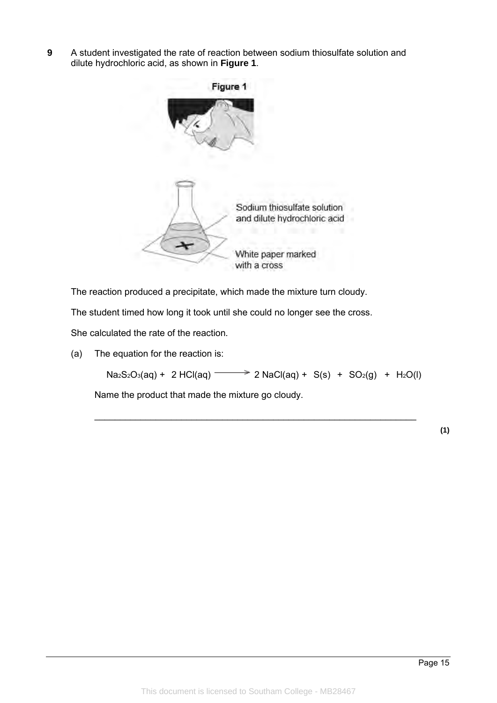**9** A student investigated the rate of reaction between sodium thiosulfate solution and dilute hydrochloric acid, as shown in **Figure 1**.



The reaction produced a precipitate, which made the mixture turn cloudy.

The student timed how long it took until she could no longer see the cross.

She calculated the rate of the reaction.

(a) The equation for the reaction is:

 $Na<sub>2</sub>S<sub>2</sub>O<sub>3</sub>(aq) + 2 HCl(aq)$  <br>  $\longrightarrow$  2 NaCl(aq) + S(s) + SO<sub>2</sub>(g) + H<sub>2</sub>O(l)

\_\_\_\_\_\_\_\_\_\_\_\_\_\_\_\_\_\_\_\_\_\_\_\_\_\_\_\_\_\_\_\_\_\_\_\_\_\_\_\_\_\_\_\_\_\_\_\_\_\_\_\_\_\_\_\_\_\_\_\_\_\_\_

Name the product that made the mixture go cloudy.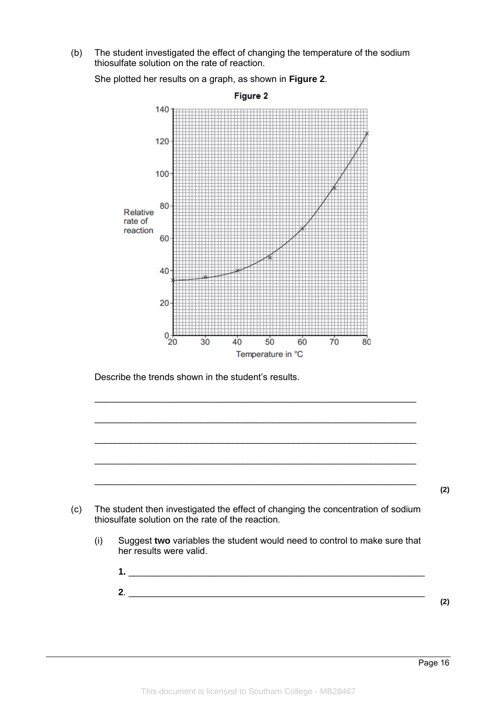(b) The student investigated the effect of changing the temperature of the sodium thiosulfate solution on the rate of reaction.

She plotted her results on a graph, as shown in **Figure 2**.



Describe the trends shown in the student's results.



\_\_\_\_\_\_\_\_\_\_\_\_\_\_\_\_\_\_\_\_\_\_\_\_\_\_\_\_\_\_\_\_\_\_\_\_\_\_\_\_\_\_\_\_\_\_\_\_\_\_\_\_\_\_\_\_\_\_\_\_\_\_\_

 $\_$  ,  $\_$  ,  $\_$  ,  $\_$  ,  $\_$  ,  $\_$  ,  $\_$  ,  $\_$  ,  $\_$  ,  $\_$  ,  $\_$  ,  $\_$  ,  $\_$  ,  $\_$  ,  $\_$  ,  $\_$  ,  $\_$  ,  $\_$  ,  $\_$  ,  $\_$ 

 $\_$  ,  $\_$  ,  $\_$  ,  $\_$  ,  $\_$  ,  $\_$  ,  $\_$  ,  $\_$  ,  $\_$  ,  $\_$  ,  $\_$  ,  $\_$  ,  $\_$  ,  $\_$  ,  $\_$  ,  $\_$  ,  $\_$  ,  $\_$  ,  $\_$  ,  $\_$ 

\_\_\_\_\_\_\_\_\_\_\_\_\_\_\_\_\_\_\_\_\_\_\_\_\_\_\_\_\_\_\_\_\_\_\_\_\_\_\_\_\_\_\_\_\_\_\_\_\_\_\_\_\_\_\_\_\_\_\_\_\_\_\_

- her results were valid.
	- **1.** \_\_\_\_\_\_\_\_\_\_\_\_\_\_\_\_\_\_\_\_\_\_\_\_\_\_\_\_\_\_\_\_\_\_\_\_\_\_\_\_\_\_\_\_\_\_\_\_\_\_\_\_\_\_\_\_\_\_ **2**. \_\_\_\_\_\_\_\_\_\_\_\_\_\_\_\_\_\_\_\_\_\_\_\_\_\_\_\_\_\_\_\_\_\_\_\_\_\_\_\_\_\_\_\_\_\_\_\_\_\_\_\_\_\_\_\_\_\_ **(2)**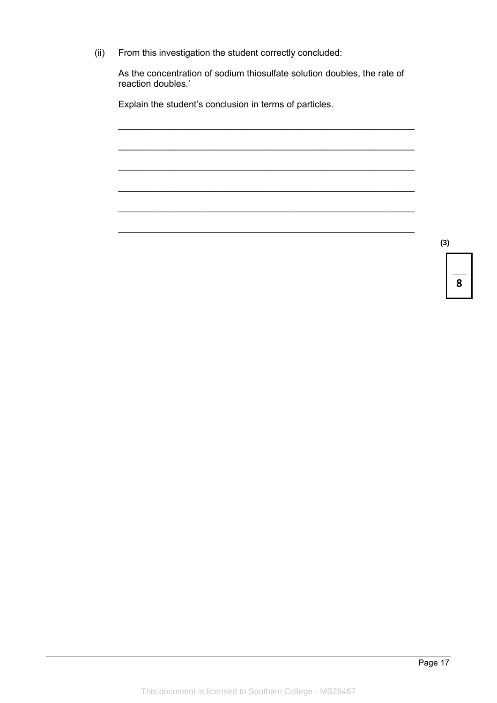(ii) From this investigation the student correctly concluded:

As the concentration of sodium thiosulfate solution doubles, the rate of reaction doubles.'

\_\_\_\_\_\_\_\_\_\_\_\_\_\_\_\_\_\_\_\_\_\_\_\_\_\_\_\_\_\_\_\_\_\_\_\_\_\_\_\_\_\_\_\_\_\_\_\_\_\_\_\_\_\_\_\_\_\_

 $\_$  , and the set of the set of the set of the set of the set of the set of the set of the set of the set of the set of the set of the set of the set of the set of the set of the set of the set of the set of the set of th

\_\_\_\_\_\_\_\_\_\_\_\_\_\_\_\_\_\_\_\_\_\_\_\_\_\_\_\_\_\_\_\_\_\_\_\_\_\_\_\_\_\_\_\_\_\_\_\_\_\_\_\_\_\_\_\_\_\_

\_\_\_\_\_\_\_\_\_\_\_\_\_\_\_\_\_\_\_\_\_\_\_\_\_\_\_\_\_\_\_\_\_\_\_\_\_\_\_\_\_\_\_\_\_\_\_\_\_\_\_\_\_\_\_\_\_\_

\_\_\_\_\_\_\_\_\_\_\_\_\_\_\_\_\_\_\_\_\_\_\_\_\_\_\_\_\_\_\_\_\_\_\_\_\_\_\_\_\_\_\_\_\_\_\_\_\_\_\_\_\_\_\_\_\_\_

 $\_$  , and the set of the set of the set of the set of the set of the set of the set of the set of the set of the set of the set of the set of the set of the set of the set of the set of the set of the set of the set of th

Explain the student's conclusion in terms of particles.

**(3)**

**8**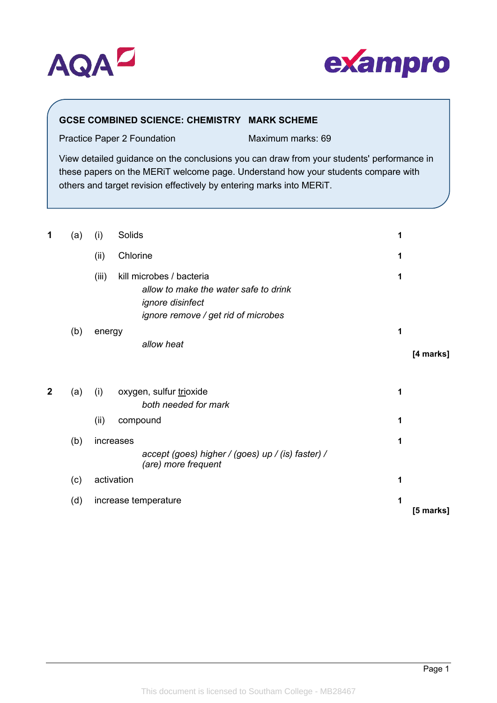



# **GCSE COMBINED SCIENCE: CHEMISTRY MARK SCHEME**

Practice Paper 2 Foundation Maximum marks: 69

View detailed guidance on the conclusions you can draw from your students' performance in these papers on the MERiT welcome page. Understand how your students compare with others and target revision effectively by entering marks into MERiT.

| 1           | (a) | (i)        | Solids                                                                                                                              | 1 |           |
|-------------|-----|------------|-------------------------------------------------------------------------------------------------------------------------------------|---|-----------|
|             |     | (ii)       | Chlorine                                                                                                                            | 1 |           |
|             |     | (iii)      | kill microbes / bacteria<br>allow to make the water safe to drink<br><i>ignore disinfect</i><br>ignore remove / get rid of microbes | 1 |           |
|             | (b) | energy     | allow heat                                                                                                                          | 1 | [4 marks] |
| $\mathbf 2$ | (a) | (i)        | oxygen, sulfur trioxide<br>both needed for mark                                                                                     | 1 |           |
|             |     | (ii)       | compound                                                                                                                            | 1 |           |
|             | (b) | increases  | accept (goes) higher / (goes) up / (is) faster) /<br>(are) more frequent                                                            | 1 |           |
|             | (c) | activation |                                                                                                                                     | 1 |           |
|             | (d) |            | increase temperature                                                                                                                | 1 | [5 marks] |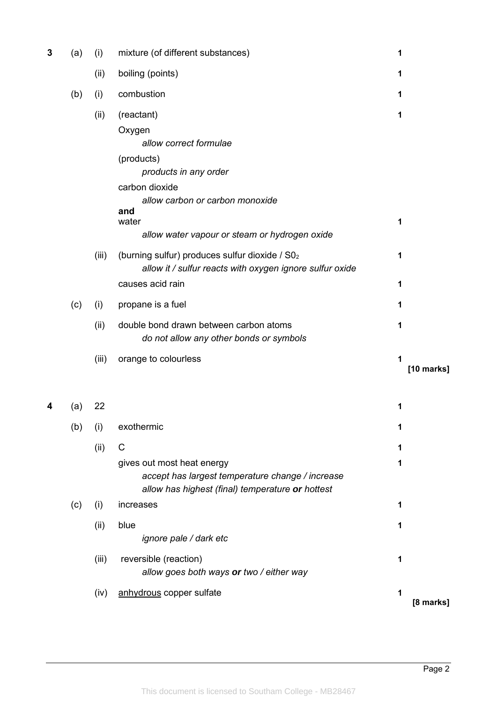| 3 | (a) | (i)   | mixture (of different substances)                                                                                                                          | 1               |
|---|-----|-------|------------------------------------------------------------------------------------------------------------------------------------------------------------|-----------------|
|   |     | (ii)  | boiling (points)                                                                                                                                           | 1               |
|   | (b) | (i)   | combustion                                                                                                                                                 | 1               |
|   |     | (ii)  | (reactant)<br>Oxygen<br>allow correct formulae<br>(products)<br>products in any order<br>carbon dioxide<br>allow carbon or carbon monoxide<br>and<br>water | 1               |
|   |     |       | allow water vapour or steam or hydrogen oxide                                                                                                              | 1               |
|   |     | (iii) | (burning sulfur) produces sulfur dioxide / S02<br>allow it / sulfur reacts with oxygen ignore sulfur oxide                                                 | 1               |
|   |     |       | causes acid rain                                                                                                                                           | 1               |
|   | (c) | (i)   | propane is a fuel                                                                                                                                          | 1               |
|   |     | (ii)  | double bond drawn between carbon atoms<br>do not allow any other bonds or symbols                                                                          | 1               |
|   |     | (iii) | orange to colourless                                                                                                                                       | 1<br>[10 marks] |
|   | (a) | 22    |                                                                                                                                                            | 1               |
|   | (b) | (i)   | exothermic                                                                                                                                                 | 1               |
|   |     | (ii)  | C                                                                                                                                                          | 1               |
|   |     |       | gives out most heat energy<br>accept has largest temperature change / increase<br>allow has highest (final) temperature or hottest                         | 1               |
|   | (c) | (i)   | increases                                                                                                                                                  | 1               |
|   |     | (ii)  | blue<br>ignore pale / dark etc                                                                                                                             | 1               |
|   |     | (iii) | reversible (reaction)<br>allow goes both ways or two / either way                                                                                          | 1               |
|   |     | (iv)  | anhydrous copper sulfate                                                                                                                                   | 1<br>[8 marks]  |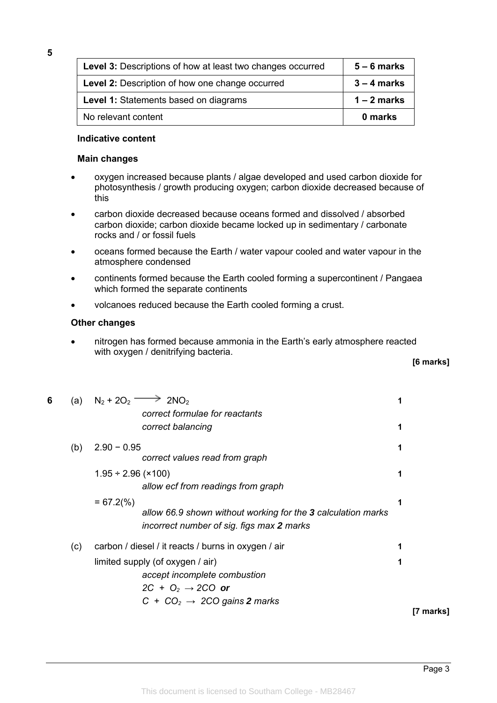| <b>Level 3: Descriptions of how at least two changes occurred</b> | $5 - 6$ marks |
|-------------------------------------------------------------------|---------------|
| Level 2: Description of how one change occurred                   | $3 - 4$ marks |
| Level 1: Statements based on diagrams                             | $1 - 2$ marks |
| No relevant content                                               | 0 marks       |

#### **Indicative content**

#### **Main changes**

- oxygen increased because plants / algae developed and used carbon dioxide for photosynthesis / growth producing oxygen; carbon dioxide decreased because of this
- carbon dioxide decreased because oceans formed and dissolved / absorbed carbon dioxide; carbon dioxide became locked up in sedimentary / carbonate rocks and / or fossil fuels
- oceans formed because the Earth / water vapour cooled and water vapour in the atmosphere condensed
- continents formed because the Earth cooled forming a supercontinent / Pangaea which formed the separate continents
- volcanoes reduced because the Earth cooled forming a crust.

#### **Other changes**

• nitrogen has formed because ammonia in the Earth's early atmosphere reacted with oxygen / denitrifying bacteria.

| 6 | (a) | $N_2 + 2O_2$ —<br>$\geq$ 2NO <sub>2</sub><br>correct formulae for reactants                                                                             |   |           |
|---|-----|---------------------------------------------------------------------------------------------------------------------------------------------------------|---|-----------|
|   |     | correct balancing                                                                                                                                       | 1 |           |
|   | (b) | $2.90 - 0.95$<br>correct values read from graph                                                                                                         | 1 |           |
|   |     | $1.95 \div 2.96$ (×100)<br>allow ecf from readings from graph                                                                                           | 1 |           |
|   |     | $= 67.2(%)$<br>allow 66.9 shown without working for the 3 calculation marks<br>incorrect number of sig. figs max 2 marks                                | 1 |           |
|   | (c) | carbon / diesel / it reacts / burns in oxygen / air                                                                                                     |   |           |
|   |     | limited supply (of oxygen / air)<br>accept incomplete combustion<br>2C + O <sub>2</sub> $\rightarrow$ 2CO or<br>$C + CO2 \rightarrow 2CO$ gains 2 marks |   |           |
|   |     |                                                                                                                                                         |   | [7 marks] |

This document is licensed to Southam College - MB28467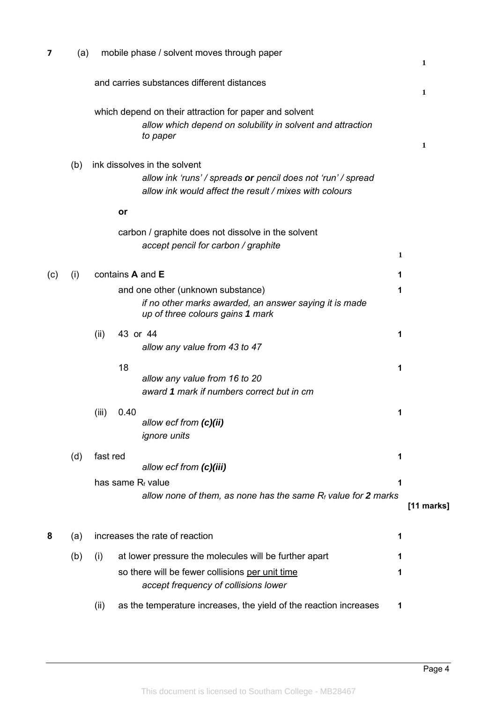| $\overline{\mathbf{z}}$ | (a) |                   | mobile phase / solvent moves through paper                                                                                                             |   | 1            |
|-------------------------|-----|-------------------|--------------------------------------------------------------------------------------------------------------------------------------------------------|---|--------------|
|                         |     |                   | and carries substances different distances                                                                                                             |   | 1            |
|                         |     |                   | which depend on their attraction for paper and solvent<br>allow which depend on solubility in solvent and attraction<br>to paper                       |   | 1            |
|                         | (b) |                   | ink dissolves in the solvent<br>allow ink 'runs' / spreads or pencil does not 'run' / spread<br>allow ink would affect the result / mixes with colours |   |              |
|                         |     | or                |                                                                                                                                                        |   |              |
|                         |     |                   | carbon / graphite does not dissolve in the solvent<br>accept pencil for carbon / graphite                                                              | 1 |              |
| (c)                     | (i) | contains A and E  |                                                                                                                                                        | 1 |              |
|                         |     |                   | and one other (unknown substance)<br>if no other marks awarded, an answer saying it is made<br>up of three colours gains 1 mark                        | 1 |              |
|                         |     | (ii)<br>43 or 44  | allow any value from 43 to 47                                                                                                                          | 1 |              |
|                         |     | 18                | allow any value from 16 to 20<br>award 1 mark if numbers correct but in cm                                                                             | 1 |              |
|                         |     | 0.40<br>(iii)     | allow ecf from (c)(ii)<br><i>ignore units</i>                                                                                                          | 1 |              |
|                         | (d) | fast red          | allow ecf from (c)(iii)                                                                                                                                | 1 |              |
|                         |     | has same Rf value | allow none of them, as none has the same $R_f$ value for 2 marks                                                                                       | 1 | $[11$ marks] |
| 8                       | (a) |                   | increases the rate of reaction                                                                                                                         | 1 |              |
|                         | (b) | (i)               | at lower pressure the molecules will be further apart                                                                                                  | 1 |              |
|                         |     |                   | so there will be fewer collisions per unit time<br>accept frequency of collisions lower                                                                | 1 |              |
|                         |     | (ii)              | as the temperature increases, the yield of the reaction increases                                                                                      | 1 |              |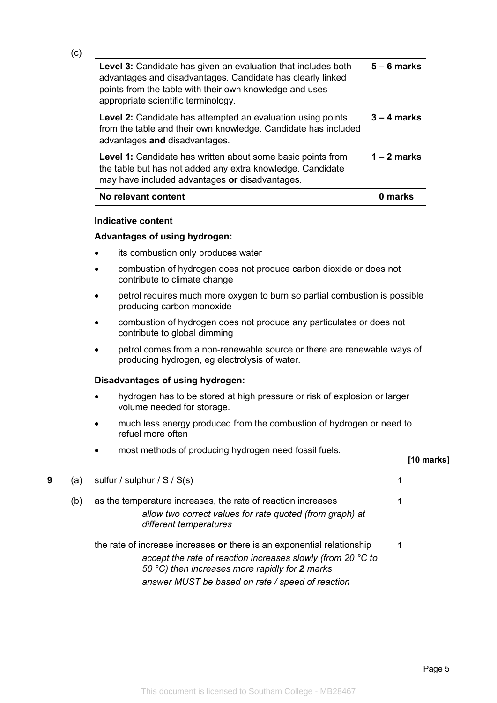| <b>Level 3:</b> Candidate has given an evaluation that includes both<br>advantages and disadvantages. Candidate has clearly linked<br>points from the table with their own knowledge and uses<br>appropriate scientific terminology. | $5 - 6$ marks |
|--------------------------------------------------------------------------------------------------------------------------------------------------------------------------------------------------------------------------------------|---------------|
| Level 2: Candidate has attempted an evaluation using points<br>from the table and their own knowledge. Candidate has included<br>advantages and disadvantages.                                                                       | $3 - 4$ marks |
| <b>Level 1:</b> Candidate has written about some basic points from<br>the table but has not added any extra knowledge. Candidate<br>may have included advantages or disadvantages.                                                   | $1 - 2$ marks |
| No relevant content                                                                                                                                                                                                                  | marks         |

#### **Indicative content**

(c)

## **Advantages of using hydrogen:**

- its combustion only produces water
- combustion of hydrogen does not produce carbon dioxide or does not contribute to climate change
- petrol requires much more oxygen to burn so partial combustion is possible producing carbon monoxide
- combustion of hydrogen does not produce any particulates or does not contribute to global dimming
- petrol comes from a non-renewable source or there are renewable ways of producing hydrogen, eg electrolysis of water.

### **Disadvantages of using hydrogen:**

- hydrogen has to be stored at high pressure or risk of explosion or larger volume needed for storage.
- much less energy produced from the combustion of hydrogen or need to refuel more often
- most methods of producing hydrogen need fossil fuels.

#### **[10 marks]**

| 9 | (a) | sulfur / sulphur / $S / S(s)$                                                                                                                                                                                                               |   |  |
|---|-----|---------------------------------------------------------------------------------------------------------------------------------------------------------------------------------------------------------------------------------------------|---|--|
|   | (b) | as the temperature increases, the rate of reaction increases<br>allow two correct values for rate quoted (from graph) at<br>different temperatures                                                                                          |   |  |
|   |     | the rate of increase increases or there is an exponential relationship<br>accept the rate of reaction increases slowly (from 20 °C to<br>50 °C) then increases more rapidly for 2 marks<br>answer MUST be based on rate / speed of reaction | 1 |  |